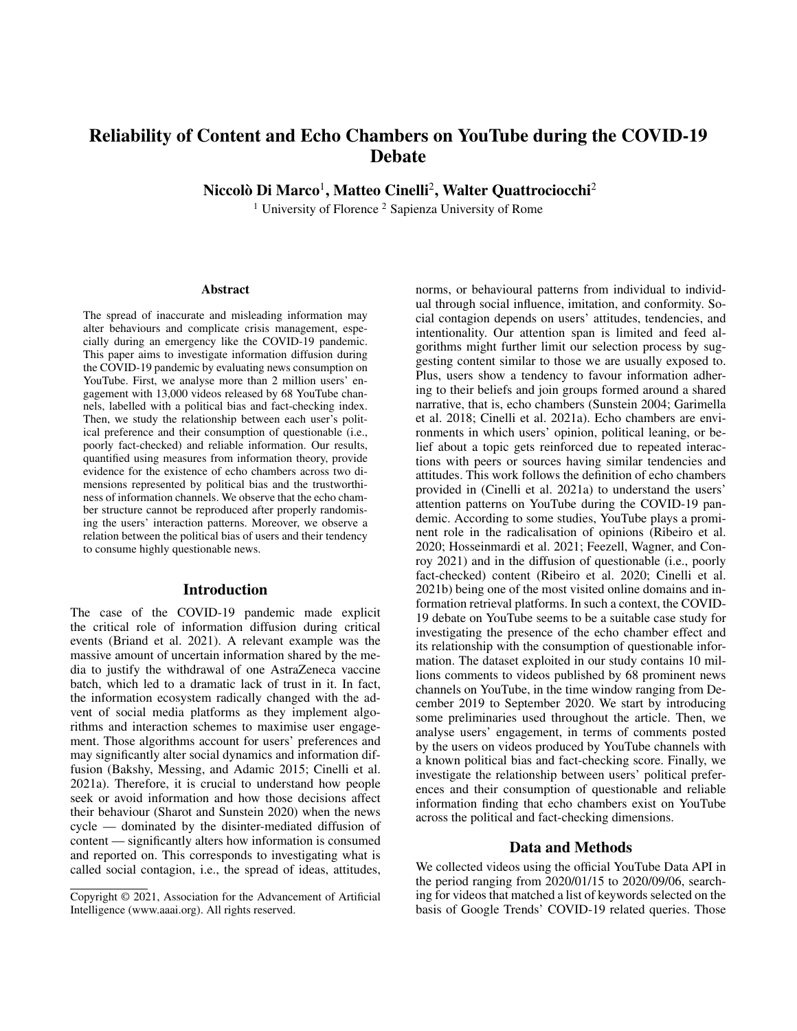# Reliability of Content and Echo Chambers on YouTube during the COVID-19 Debate

Niccolò Di Marco<sup>1</sup>, Matteo Cinelli<sup>2</sup>, Walter Quattrociocchi<sup>2</sup>

<sup>1</sup> University of Florence<sup>2</sup> Sapienza University of Rome

#### Abstract

The spread of inaccurate and misleading information may alter behaviours and complicate crisis management, especially during an emergency like the COVID-19 pandemic. This paper aims to investigate information diffusion during the COVID-19 pandemic by evaluating news consumption on YouTube. First, we analyse more than 2 million users' engagement with 13,000 videos released by 68 YouTube channels, labelled with a political bias and fact-checking index. Then, we study the relationship between each user's political preference and their consumption of questionable (i.e., poorly fact-checked) and reliable information. Our results, quantified using measures from information theory, provide evidence for the existence of echo chambers across two dimensions represented by political bias and the trustworthiness of information channels. We observe that the echo chamber structure cannot be reproduced after properly randomising the users' interaction patterns. Moreover, we observe a relation between the political bias of users and their tendency to consume highly questionable news.

## Introduction

The case of the COVID-19 pandemic made explicit the critical role of information diffusion during critical events (Briand et al. 2021). A relevant example was the massive amount of uncertain information shared by the media to justify the withdrawal of one AstraZeneca vaccine batch, which led to a dramatic lack of trust in it. In fact, the information ecosystem radically changed with the advent of social media platforms as they implement algorithms and interaction schemes to maximise user engagement. Those algorithms account for users' preferences and may significantly alter social dynamics and information diffusion (Bakshy, Messing, and Adamic 2015; Cinelli et al. 2021a). Therefore, it is crucial to understand how people seek or avoid information and how those decisions affect their behaviour (Sharot and Sunstein 2020) when the news cycle — dominated by the disinter-mediated diffusion of content — significantly alters how information is consumed and reported on. This corresponds to investigating what is called social contagion, i.e., the spread of ideas, attitudes,

norms, or behavioural patterns from individual to individual through social influence, imitation, and conformity. Social contagion depends on users' attitudes, tendencies, and intentionality. Our attention span is limited and feed algorithms might further limit our selection process by suggesting content similar to those we are usually exposed to. Plus, users show a tendency to favour information adhering to their beliefs and join groups formed around a shared narrative, that is, echo chambers (Sunstein 2004; Garimella et al. 2018; Cinelli et al. 2021a). Echo chambers are environments in which users' opinion, political leaning, or belief about a topic gets reinforced due to repeated interactions with peers or sources having similar tendencies and attitudes. This work follows the definition of echo chambers provided in (Cinelli et al. 2021a) to understand the users' attention patterns on YouTube during the COVID-19 pandemic. According to some studies, YouTube plays a prominent role in the radicalisation of opinions (Ribeiro et al. 2020; Hosseinmardi et al. 2021; Feezell, Wagner, and Conroy 2021) and in the diffusion of questionable (i.e., poorly fact-checked) content (Ribeiro et al. 2020; Cinelli et al. 2021b) being one of the most visited online domains and information retrieval platforms. In such a context, the COVID-19 debate on YouTube seems to be a suitable case study for investigating the presence of the echo chamber effect and its relationship with the consumption of questionable information. The dataset exploited in our study contains 10 millions comments to videos published by 68 prominent news channels on YouTube, in the time window ranging from December 2019 to September 2020. We start by introducing some preliminaries used throughout the article. Then, we analyse users' engagement, in terms of comments posted by the users on videos produced by YouTube channels with a known political bias and fact-checking score. Finally, we investigate the relationship between users' political preferences and their consumption of questionable and reliable information finding that echo chambers exist on YouTube across the political and fact-checking dimensions.

#### Data and Methods

We collected videos using the official YouTube Data API in the period ranging from 2020/01/15 to 2020/09/06, searching for videos that matched a list of keywords selected on the basis of Google Trends' COVID-19 related queries. Those

Copyright © 2021, Association for the Advancement of Artificial Intelligence (www.aaai.org). All rights reserved.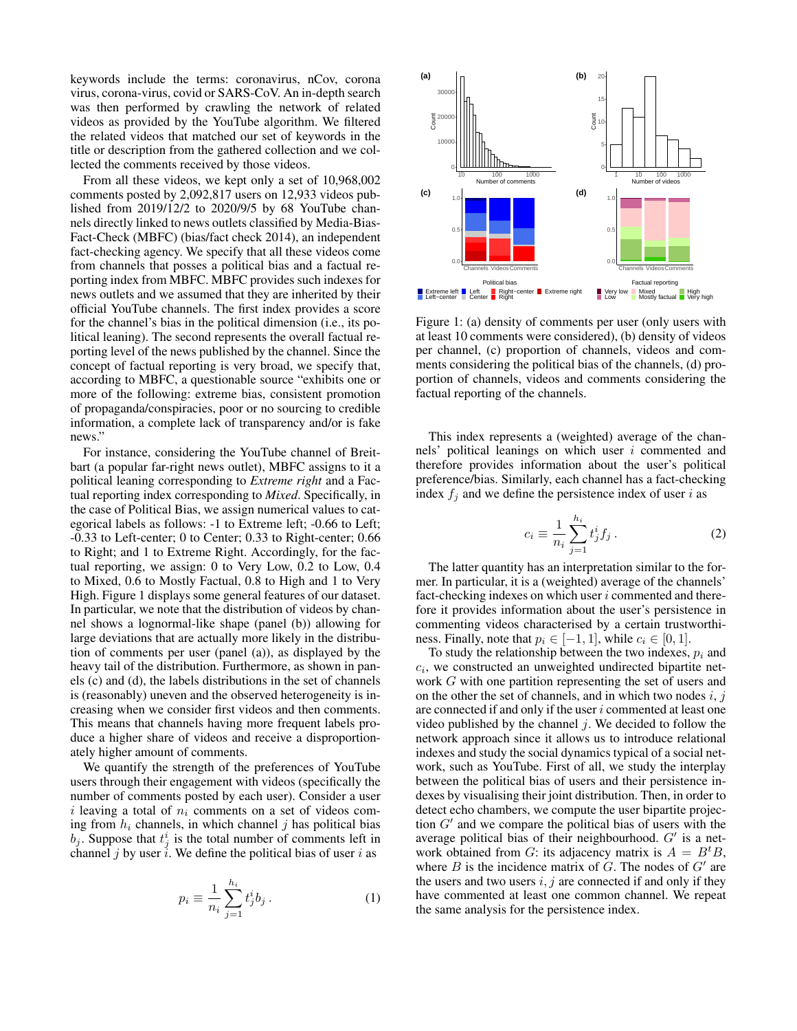keywords include the terms: coronavirus, nCov, corona virus, corona-virus, covid or SARS-CoV. An in-depth search was then performed by crawling the network of related videos as provided by the YouTube algorithm. We filtered the related videos that matched our set of keywords in the title or description from the gathered collection and we collected the comments received by those videos.

From all these videos, we kept only a set of 10,968,002 comments posted by 2,092,817 users on 12,933 videos published from 2019/12/2 to 2020/9/5 by 68 YouTube channels directly linked to news outlets classified by Media-Bias-Fact-Check (MBFC) (bias/fact check 2014), an independent fact-checking agency. We specify that all these videos come from channels that posses a political bias and a factual reporting index from MBFC. MBFC provides such indexes for news outlets and we assumed that they are inherited by their official YouTube channels. The first index provides a score for the channel's bias in the political dimension (i.e., its political leaning). The second represents the overall factual reporting level of the news published by the channel. Since the concept of factual reporting is very broad, we specify that, according to MBFC, a questionable source "exhibits one or more of the following: extreme bias, consistent promotion of propaganda/conspiracies, poor or no sourcing to credible information, a complete lack of transparency and/or is fake news."

For instance, considering the YouTube channel of Breitbart (a popular far-right news outlet), MBFC assigns to it a political leaning corresponding to *Extreme right* and a Factual reporting index corresponding to *Mixed*. Specifically, in the case of Political Bias, we assign numerical values to categorical labels as follows: -1 to Extreme left; -0.66 to Left; -0.33 to Left-center; 0 to Center; 0.33 to Right-center; 0.66 to Right; and 1 to Extreme Right. Accordingly, for the factual reporting, we assign: 0 to Very Low, 0.2 to Low, 0.4 to Mixed, 0.6 to Mostly Factual, 0.8 to High and 1 to Very High. Figure 1 displays some general features of our dataset. In particular, we note that the distribution of videos by channel shows a lognormal-like shape (panel (b)) allowing for large deviations that are actually more likely in the distribution of comments per user (panel (a)), as displayed by the heavy tail of the distribution. Furthermore, as shown in panels (c) and (d), the labels distributions in the set of channels is (reasonably) uneven and the observed heterogeneity is increasing when we consider first videos and then comments. This means that channels having more frequent labels produce a higher share of videos and receive a disproportionately higher amount of comments.

We quantify the strength of the preferences of YouTube users through their engagement with videos (specifically the number of comments posted by each user). Consider a user i leaving a total of  $n_i$  comments on a set of videos coming from  $h_i$  channels, in which channel j has political bias  $b_j$ . Suppose that  $t_j^i$  is the total number of comments left in channel j by user i. We define the political bias of user i as

$$
p_i \equiv \frac{1}{n_i} \sum_{j=1}^{h_i} t_j^i b_j \,. \tag{1}
$$



Figure 1: (a) density of comments per user (only users with at least 10 comments were considered), (b) density of videos per channel, (c) proportion of channels, videos and comments considering the political bias of the channels, (d) proportion of channels, videos and comments considering the factual reporting of the channels.

This index represents a (weighted) average of the channels' political leanings on which user i commented and therefore provides information about the user's political preference/bias. Similarly, each channel has a fact-checking index  $f_i$  and we define the persistence index of user i as

$$
c_i \equiv \frac{1}{n_i} \sum_{j=1}^{h_i} t_j^i f_j \,. \tag{2}
$$

The latter quantity has an interpretation similar to the former. In particular, it is a (weighted) average of the channels' fact-checking indexes on which user  $i$  commented and therefore it provides information about the user's persistence in commenting videos characterised by a certain trustworthiness. Finally, note that  $p_i \in [-1, 1]$ , while  $c_i \in [0, 1]$ .

To study the relationship between the two indexes,  $p_i$  and  $c_i$ , we constructed an unweighted undirected bipartite network G with one partition representing the set of users and on the other the set of channels, and in which two nodes  $i, j$ are connected if and only if the user i commented at least one video published by the channel  $j$ . We decided to follow the network approach since it allows us to introduce relational indexes and study the social dynamics typical of a social network, such as YouTube. First of all, we study the interplay between the political bias of users and their persistence indexes by visualising their joint distribution. Then, in order to detect echo chambers, we compute the user bipartite projection  $G'$  and we compare the political bias of users with the average political bias of their neighbourhood.  $G'$  is a network obtained from G: its adjacency matrix is  $A = B<sup>t</sup>B$ , where  $B$  is the incidence matrix of  $G$ . The nodes of  $G'$  are the users and two users  $i, j$  are connected if and only if they have commented at least one common channel. We repeat the same analysis for the persistence index.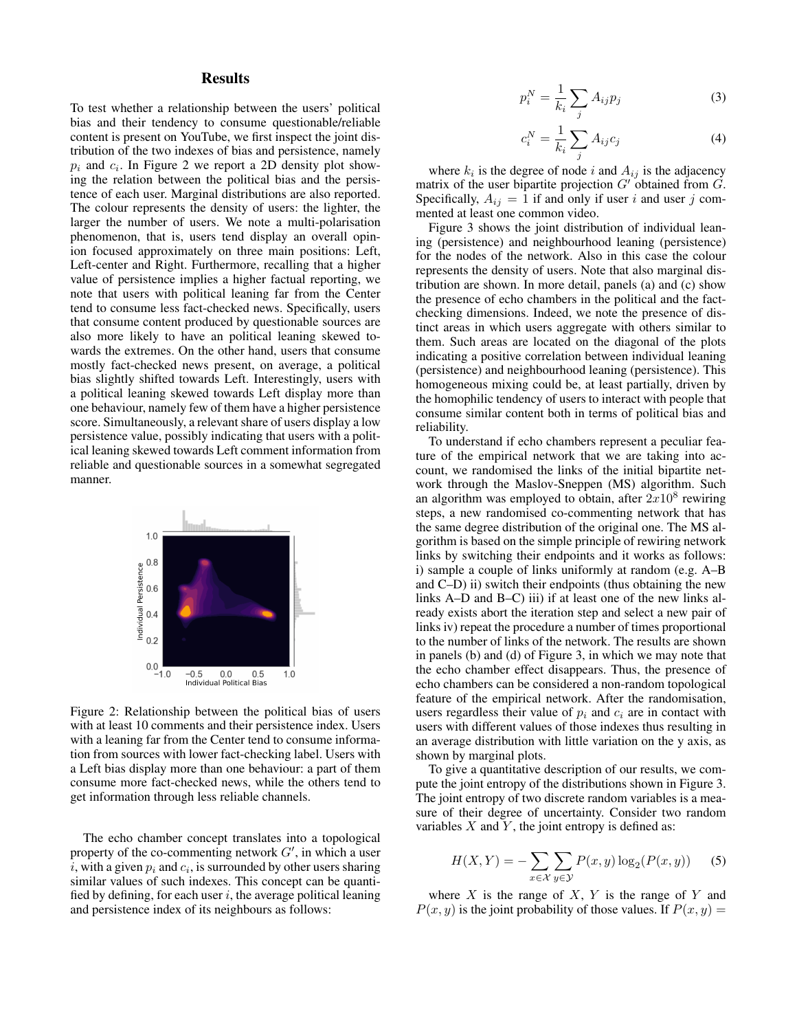## **Results**

To test whether a relationship between the users' political bias and their tendency to consume questionable/reliable content is present on YouTube, we first inspect the joint distribution of the two indexes of bias and persistence, namely  $p_i$  and  $c_i$ . In Figure 2 we report a 2D density plot showing the relation between the political bias and the persistence of each user. Marginal distributions are also reported. The colour represents the density of users: the lighter, the larger the number of users. We note a multi-polarisation phenomenon, that is, users tend display an overall opinion focused approximately on three main positions: Left, Left-center and Right. Furthermore, recalling that a higher value of persistence implies a higher factual reporting, we note that users with political leaning far from the Center tend to consume less fact-checked news. Specifically, users that consume content produced by questionable sources are also more likely to have an political leaning skewed towards the extremes. On the other hand, users that consume mostly fact-checked news present, on average, a political bias slightly shifted towards Left. Interestingly, users with a political leaning skewed towards Left display more than one behaviour, namely few of them have a higher persistence score. Simultaneously, a relevant share of users display a low persistence value, possibly indicating that users with a political leaning skewed towards Left comment information from reliable and questionable sources in a somewhat segregated manner.



Figure 2: Relationship between the political bias of users with at least 10 comments and their persistence index. Users with a leaning far from the Center tend to consume information from sources with lower fact-checking label. Users with a Left bias display more than one behaviour: a part of them consume more fact-checked news, while the others tend to get information through less reliable channels.

The echo chamber concept translates into a topological property of the co-commenting network  $G'$ , in which a user i, with a given  $p_i$  and  $c_i$ , is surrounded by other users sharing similar values of such indexes. This concept can be quantified by defining, for each user  $i$ , the average political leaning and persistence index of its neighbours as follows:

$$
p_i^N = \frac{1}{k_i} \sum_j A_{ij} p_j \tag{3}
$$

$$
c_i^N = \frac{1}{k_i} \sum_j A_{ij} c_j \tag{4}
$$

where  $k_i$  is the degree of node i and  $A_{ij}$  is the adjacency matrix of the user bipartite projection  $G'$  obtained from  $G$ . Specifically,  $A_{ij} = 1$  if and only if user i and user j commented at least one common video.

Figure 3 shows the joint distribution of individual leaning (persistence) and neighbourhood leaning (persistence) for the nodes of the network. Also in this case the colour represents the density of users. Note that also marginal distribution are shown. In more detail, panels (a) and (c) show the presence of echo chambers in the political and the factchecking dimensions. Indeed, we note the presence of distinct areas in which users aggregate with others similar to them. Such areas are located on the diagonal of the plots indicating a positive correlation between individual leaning (persistence) and neighbourhood leaning (persistence). This homogeneous mixing could be, at least partially, driven by the homophilic tendency of users to interact with people that consume similar content both in terms of political bias and reliability.

To understand if echo chambers represent a peculiar feature of the empirical network that we are taking into account, we randomised the links of the initial bipartite network through the Maslov-Sneppen (MS) algorithm. Such an algorithm was employed to obtain, after  $2x10^8$  rewiring steps, a new randomised co-commenting network that has the same degree distribution of the original one. The MS algorithm is based on the simple principle of rewiring network links by switching their endpoints and it works as follows: i) sample a couple of links uniformly at random (e.g. A–B and C–D) ii) switch their endpoints (thus obtaining the new links A–D and B–C) iii) if at least one of the new links already exists abort the iteration step and select a new pair of links iv) repeat the procedure a number of times proportional to the number of links of the network. The results are shown in panels (b) and (d) of Figure 3, in which we may note that the echo chamber effect disappears. Thus, the presence of echo chambers can be considered a non-random topological feature of the empirical network. After the randomisation, users regardless their value of  $p_i$  and  $c_i$  are in contact with users with different values of those indexes thus resulting in an average distribution with little variation on the y axis, as shown by marginal plots.

To give a quantitative description of our results, we compute the joint entropy of the distributions shown in Figure 3. The joint entropy of two discrete random variables is a measure of their degree of uncertainty. Consider two random variables  $X$  and  $Y$ , the joint entropy is defined as:

$$
H(X,Y) = -\sum_{x \in \mathcal{X}} \sum_{y \in \mathcal{Y}} P(x,y) \log_2(P(x,y)) \tag{5}
$$

where  $X$  is the range of  $X$ ,  $Y$  is the range of  $Y$  and  $P(x, y)$  is the joint probability of those values. If  $P(x, y) =$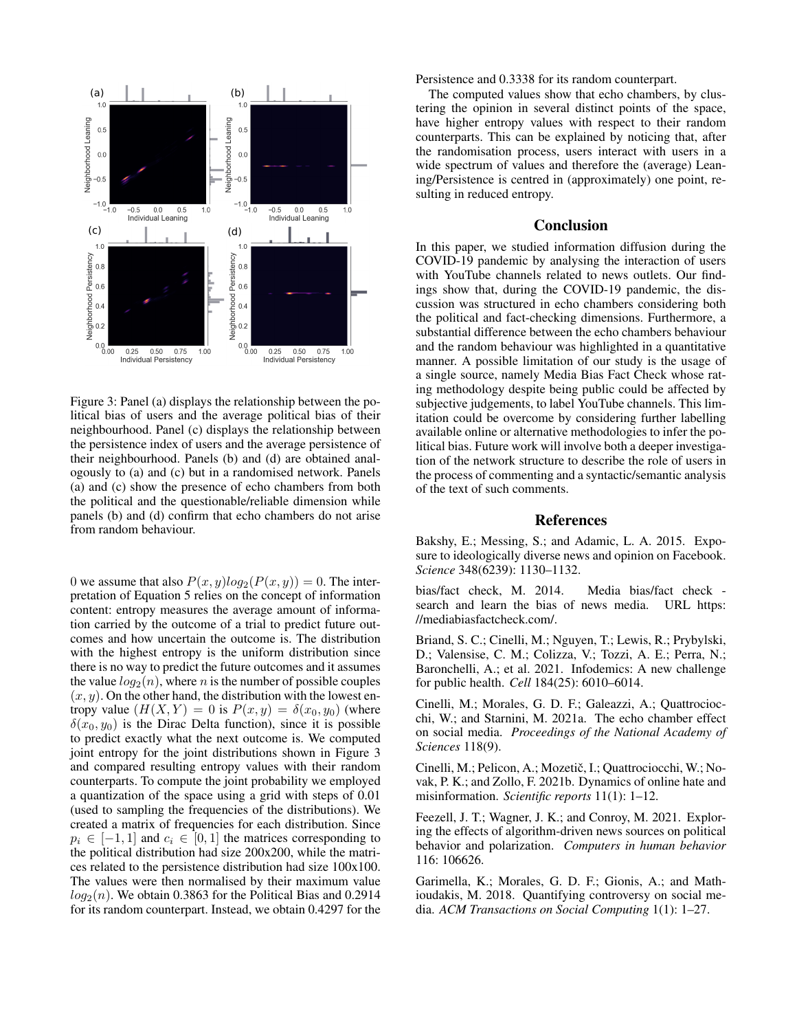

Figure 3: Panel (a) displays the relationship between the political bias of users and the average political bias of their neighbourhood. Panel (c) displays the relationship between the persistence index of users and the average persistence of their neighbourhood. Panels (b) and (d) are obtained analogously to (a) and (c) but in a randomised network. Panels (a) and (c) show the presence of echo chambers from both the political and the questionable/reliable dimension while panels (b) and (d) confirm that echo chambers do not arise from random behaviour.

0 we assume that also  $P(x, y)log_2(P(x, y)) = 0$ . The interpretation of Equation 5 relies on the concept of information content: entropy measures the average amount of information carried by the outcome of a trial to predict future outcomes and how uncertain the outcome is. The distribution with the highest entropy is the uniform distribution since there is no way to predict the future outcomes and it assumes the value  $log_2(n)$ , where *n* is the number of possible couples  $(x, y)$ . On the other hand, the distribution with the lowest entropy value  $(H(X, Y) = 0$  is  $P(x, y) = \delta(x_0, y_0)$  (where  $\delta(x_0, y_0)$  is the Dirac Delta function), since it is possible to predict exactly what the next outcome is. We computed joint entropy for the joint distributions shown in Figure 3 and compared resulting entropy values with their random counterparts. To compute the joint probability we employed a quantization of the space using a grid with steps of 0.01 (used to sampling the frequencies of the distributions). We created a matrix of frequencies for each distribution. Since  $p_i \in [-1, 1]$  and  $c_i \in [0, 1]$  the matrices corresponding to the political distribution had size 200x200, while the matrices related to the persistence distribution had size 100x100. The values were then normalised by their maximum value  $log_2(n)$ . We obtain 0.3863 for the Political Bias and 0.2914 for its random counterpart. Instead, we obtain 0.4297 for the Persistence and 0.3338 for its random counterpart.

The computed values show that echo chambers, by clustering the opinion in several distinct points of the space, have higher entropy values with respect to their random counterparts. This can be explained by noticing that, after the randomisation process, users interact with users in a wide spectrum of values and therefore the (average) Leaning/Persistence is centred in (approximately) one point, resulting in reduced entropy.

### Conclusion

In this paper, we studied information diffusion during the COVID-19 pandemic by analysing the interaction of users with YouTube channels related to news outlets. Our findings show that, during the COVID-19 pandemic, the discussion was structured in echo chambers considering both the political and fact-checking dimensions. Furthermore, a substantial difference between the echo chambers behaviour and the random behaviour was highlighted in a quantitative manner. A possible limitation of our study is the usage of a single source, namely Media Bias Fact Check whose rating methodology despite being public could be affected by subjective judgements, to label YouTube channels. This limitation could be overcome by considering further labelling available online or alternative methodologies to infer the political bias. Future work will involve both a deeper investigation of the network structure to describe the role of users in the process of commenting and a syntactic/semantic analysis of the text of such comments.

#### **References**

Bakshy, E.; Messing, S.; and Adamic, L. A. 2015. Exposure to ideologically diverse news and opinion on Facebook. *Science* 348(6239): 1130–1132.

bias/fact check, M. 2014. Media bias/fact check search and learn the bias of news media. URL https: //mediabiasfactcheck.com/.

Briand, S. C.; Cinelli, M.; Nguyen, T.; Lewis, R.; Prybylski, D.; Valensise, C. M.; Colizza, V.; Tozzi, A. E.; Perra, N.; Baronchelli, A.; et al. 2021. Infodemics: A new challenge for public health. *Cell* 184(25): 6010–6014.

Cinelli, M.; Morales, G. D. F.; Galeazzi, A.; Quattrociocchi, W.; and Starnini, M. 2021a. The echo chamber effect on social media. *Proceedings of the National Academy of Sciences* 118(9).

Cinelli, M.; Pelicon, A.; Mozetič, I.; Quattrociocchi, W.; Novak, P. K.; and Zollo, F. 2021b. Dynamics of online hate and misinformation. *Scientific reports* 11(1): 1–12.

Feezell, J. T.; Wagner, J. K.; and Conroy, M. 2021. Exploring the effects of algorithm-driven news sources on political behavior and polarization. *Computers in human behavior* 116: 106626.

Garimella, K.; Morales, G. D. F.; Gionis, A.; and Mathioudakis, M. 2018. Quantifying controversy on social media. *ACM Transactions on Social Computing* 1(1): 1–27.